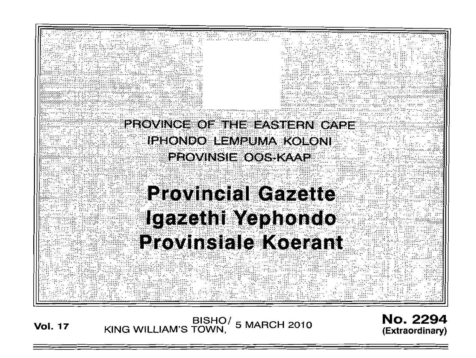

BISHO/ 5 MARCH 2010<br>KING WILLIAM'S TOWN, 5 MARCH 2010

**No. 2294** (Extraordinary)

**Vol. 17**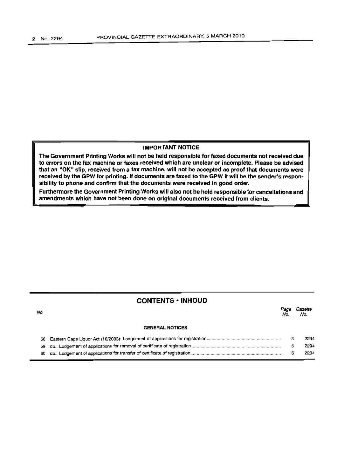# IMPORTANT NOTICE

The Government Printing Works will not be held responsible for faxed documents not received due to errors on the fax machine or faxes received which are unclear or incomplete. Please be advised that an "OK" slip, received from a fax machine, will not be accepted as proof that documents were received by the GPW for printing. If documents are faxed to the GPW it will be the sender's responsibility to phone and confirm that the documents were received in good order.

Furthermore the Government Printing Works will also not be held responsible for cancellations and amendments which have not been done on original documents received from clients.

# CONTENTS **-INHOUD**

No. *Page Gazette*  No. No.

#### GENERAL NOTICES

|  | 2294 |
|--|------|
|  | 2294 |
|  | 2294 |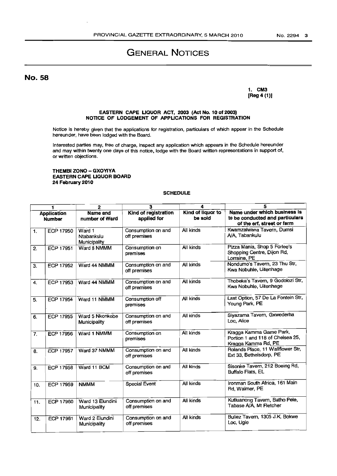# GENERAL NOTICES

No. 58

#### 1. CM3  $[Reg 4 (1)]$

#### EASTERN CAPE LIQUOR ACT, 2003 (Act No. 10 of 2003) NOTICE OF LODGEMENT OF APPLICATIONS FOR REGISTRATION

Notice is hereby given that the applications for registration. particulars of which appear in the Schedule hereunder. have been lodged with the Board.

Interested parties may, free of charge, inspect any application which appears in the Schedule hereunder and may within twenty one days of this notice, lodge with the Board written representations in support of, or written objections.

## THEMBI ZONO - GXOVlYA EASTERN CAPE LIQUOR BOARD 24 February 2010

## **SCHEDULE**

|                                     | 1                | $\mathbf{2}$                         | з                                   | 4                            | 5                                                                                             |
|-------------------------------------|------------------|--------------------------------------|-------------------------------------|------------------------------|-----------------------------------------------------------------------------------------------|
| <b>Application</b><br><b>Number</b> |                  | <b>Name and</b><br>number of Ward    | Kind of registration<br>applied for | Kind of liquor to<br>be sold | Name under which business is<br>to be conducted and particulars<br>of the erf, street or farm |
| 1.                                  | <b>ECP 17950</b> | Ward 1<br>Ntabankulu<br>Municipality | Consumption on and<br>off premises  | All kinds                    | Kwamzalwana Tavern, Dumsi<br>A/A, Tabankulu                                                   |
| 2.                                  | <b>ECP 17951</b> | Ward 8 NMMM                          | Consumption on<br>premises          | All kinds                    | Pizza Mania, Shop 5 Forlee's<br>Shopping Centre, Dijon Rd,<br>Lorraine, PE                    |
| З.                                  | <b>ECP 17952</b> | Ward 44 NMMM                         | Consumption on and<br>off premises  | All kinds                    | Nondumo's Tavern, 23 Thu Str,<br>Kwa Nobuhle, Uitenhage                                       |
| 4.                                  | <b>ECP 17953</b> | Ward 44 NMMM                         | Consumption on and<br>off premises  | All kinds                    | Thobeka's Tavern, 9 Godolozi Str,<br>Kwa Nobuhle, Uitenhage                                   |
| 5.                                  | <b>ECP 17954</b> | Ward 11 NMMM                         | Consumption off<br>premises         | All kinds                    | Last Option, 57 De La Fontein Str,<br>Young Park, PE                                          |
| 6.                                  | ECP 17955        | Ward 5 Nkonkobe<br>Municipality      | Consumption on and<br>off premises  | All kinds                    | Siyazama Tavern, Gxwederha<br>Loc, Alice                                                      |
| 7.                                  | <b>ECP 17956</b> | Ward 1 NMMM                          | Consumption on<br>premises          | All kinds                    | Kragga Kamma Game Park,<br>Portion 1 and 118 of Chelsea 25,<br>Kragga Kamma Rd, PE            |
| 8.                                  | <b>ECP 17957</b> | Ward 37 NMMM                         | Consumption on and<br>off premises  | All kinds                    | Rolands Place, 11 Wallflower Str,<br>Ext 33, Bethelsdorp, PE                                  |
| 9.                                  | <b>ECP 17958</b> | Ward 11 BCM                          | Consumption on and<br>off premises  | All kinds                    | Sisonke Tavern, 212 Boeing Rd,<br><b>Buffalo Flats, EL</b>                                    |
| 10.                                 | <b>ECP 17959</b> | <b>NMMM</b>                          | <b>Special Event</b>                | All kinds                    | Ironman South Africa, 161 Main<br>Rd, Walmer, PE                                              |
| 11.                                 | ECP 17960        | Ward 13 Elundini<br>Municipality     | Consumption on and<br>off premises  | All kinds                    | Kutluanong Tavern, Batho Pele,<br>Tabase A/A, Mt Fletcher                                     |
| 12.                                 | ECP 17961        | Ward 2 Elundini<br>Municipality      | Consumption on and<br>off premises  | All kinds                    | Buliez Tavern, 1305 J.K. Bokwe<br>Loc, Ugie                                                   |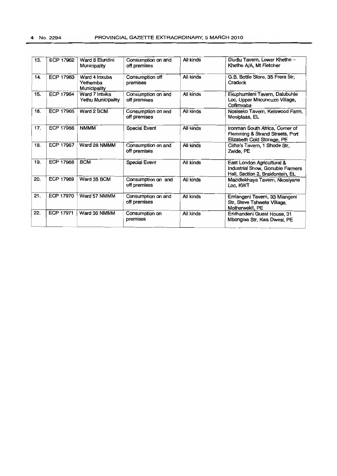| 13. | <b>ECP 17962</b> | Ward 8 Elundini<br>Municipality           | Consumption on and<br>off premises | All kinds | Dludlu Tavern, Lower Khethe -<br>Khethe A/A, Mt Fletcher                                           |
|-----|------------------|-------------------------------------------|------------------------------------|-----------|----------------------------------------------------------------------------------------------------|
| 14. | ECP 17963        | Ward 4 Inxuba<br>Yethemba<br>Municipality | Consumption off<br>premises        | All kinds | G.B. Bottle Store, 35 Frere Str,<br>Cradock                                                        |
| 15. | <b>ECP 17964</b> | Ward 7 Intsika<br>Yethu Municipality      | Consumption on and<br>off premises | All kinds | Ekuphumleni Tavern, Dalubuhle<br>Loc, Upper Mncuncuzo Village,<br>Cofimvaba                        |
| 16. | <b>ECP 17965</b> | Ward 2 BCM                                | Consumption on and<br>off premises | All kinds | Nosiseko Tavern, Kelswood Farm,<br>Mooiplaas, EL                                                   |
| 17. | ECP 17966        | <b>NMMM</b>                               | <b>Special Event</b>               | All kinds | Ironman South Africa, Corner of<br>Flemming & Strand Streets, Port<br>Elizabeth Cold Storage, PE   |
| 18. | ECP 17967        | Ward 28 NMMM                              | Consumption on and<br>off premises | All kinds | Cirha's Tavern, 1 Shode Str,<br>Zwide, PE                                                          |
| 19. | <b>ECP 17968</b> | <b>BCM</b>                                | <b>Special Event</b>               | All kinds | East London Agricultural &<br>Industrial Show, Gonubie Farmers<br>Hall, Section 2, Brakfontein, EL |
| 20. | <b>ECP 17969</b> | Ward 35 BCM                               | Consumption on and<br>off premises | All kinds | Mazidlekhaya Tavern, Nkosiyane<br>Loc. KWT                                                         |
| 21. | <b>ECP 17970</b> | Ward 57 NMMM                              | Consumption on and<br>off premises | All kinds | Emlangeni Tavern, 33 Mlangeni<br>Str, Steve Tshwete Village,<br>Motherwekll, PE                    |
| 22. | ECP 17971        | Ward 36 NMMM                              | Consumption on<br>premises         | All kinds | Emthandeni Guest House, 31<br>Mbongisa Str, Kwa Dwesi, PE                                          |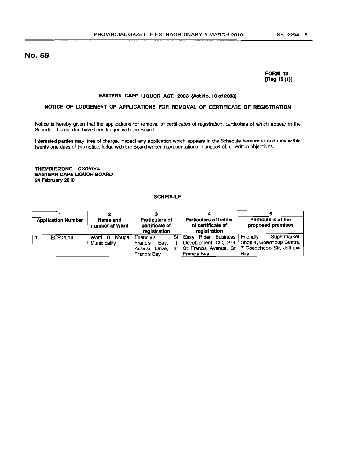# No. 59

## **FORM 13 [Reg 16 (1)1**

#### **EASTERN CAPE UQUOR ACT, 2003 (Act** No. **10 of 2003)**

# **NOTICE OF LODGEMENT OF APPLICATIONS FOR REMOVAL OF CERTIFICATE OF REGISTRATION**

Notice is hereby given that the applications for removal of certificates of registration, particulars of which appear in the Schedule hereunder, have been lodged with the Board.

Interested parties may, free of charge, inspect any application which appears in the Schedule hereunder and may within twenty one days of this notice, lodge with the Board written representations in support of. or written objections.

**THEMBIE ZONO - GXOYlYA EASTERN CAPE LIQUOR BOARD 24 February 2010** 

# **SCHEDULE**

| <b>Application Number</b> |          | Name and<br>number of Ward      | <b>Particulars of</b><br>certificate of<br>registration                   | <b>Particulars of holder</b><br>of certificate of<br>registration           | Particulars of the<br>proposed premises                                                                        |  |
|---------------------------|----------|---------------------------------|---------------------------------------------------------------------------|-----------------------------------------------------------------------------|----------------------------------------------------------------------------------------------------------------|--|
| л.                        | ECP 2016 | Kouga<br>Ward 8<br>Municipality | St l<br>Friendly's<br>Francis<br>Bav.<br>Assissi<br>Drive.<br>Francis Bay | Business<br>Rider<br>Easv<br>St St Francis Avenue, St<br><b>Francis Bav</b> | Supermarket,<br>Friendly<br>Development CC, 274   Shop 4, Goedhoop Centre,<br>7 Goedehoop Str, Jeffreys<br>Bav |  |